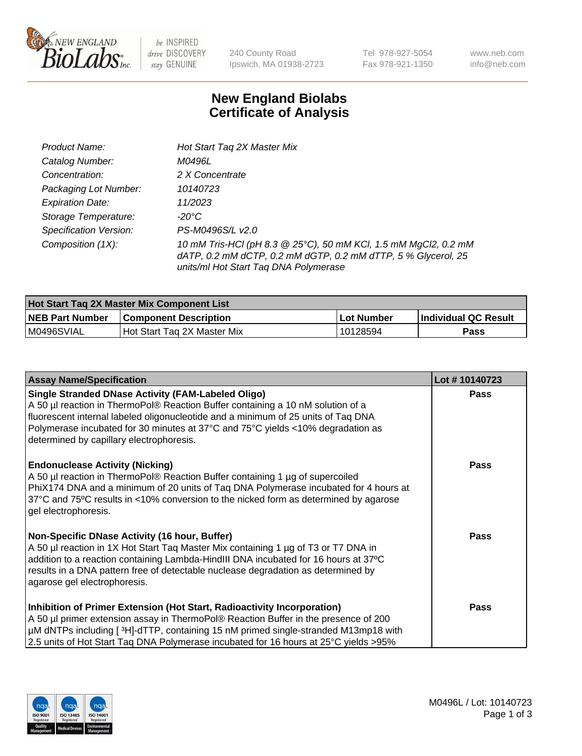

 $be$  INSPIRED drive DISCOVERY stay GENUINE

240 County Road Ipswich, MA 01938-2723 Tel 978-927-5054 Fax 978-921-1350 www.neb.com info@neb.com

## **New England Biolabs Certificate of Analysis**

| Product Name:           | Hot Start Tag 2X Master Mix                                                                                                                                               |
|-------------------------|---------------------------------------------------------------------------------------------------------------------------------------------------------------------------|
| Catalog Number:         | M0496L                                                                                                                                                                    |
| Concentration:          | 2 X Concentrate                                                                                                                                                           |
| Packaging Lot Number:   | 10140723                                                                                                                                                                  |
| <b>Expiration Date:</b> | 11/2023                                                                                                                                                                   |
| Storage Temperature:    | -20°C                                                                                                                                                                     |
| Specification Version:  | PS-M0496S/L v2.0                                                                                                                                                          |
| Composition (1X):       | 10 mM Tris-HCl (pH 8.3 @ 25°C), 50 mM KCl, 1.5 mM MgCl2, 0.2 mM<br>dATP, 0.2 mM dCTP, 0.2 mM dGTP, 0.2 mM dTTP, 5 % Glycerol, 25<br>units/ml Hot Start Taq DNA Polymerase |

| Hot Start Tag 2X Master Mix Component List |                              |            |                      |  |
|--------------------------------------------|------------------------------|------------|----------------------|--|
| <b>NEB Part Number</b>                     | <b>Component Description</b> | Lot Number | Individual QC Result |  |
| M0496SVIAL                                 | Hot Start Tag 2X Master Mix  | 10128594   | Pass                 |  |

| <b>Assay Name/Specification</b>                                                                                                                                                                                                                                                                                                                                  | Lot #10140723 |
|------------------------------------------------------------------------------------------------------------------------------------------------------------------------------------------------------------------------------------------------------------------------------------------------------------------------------------------------------------------|---------------|
| <b>Single Stranded DNase Activity (FAM-Labeled Oligo)</b><br>A 50 µl reaction in ThermoPol® Reaction Buffer containing a 10 nM solution of a<br>fluorescent internal labeled oligonucleotide and a minimum of 25 units of Taq DNA<br>Polymerase incubated for 30 minutes at 37°C and 75°C yields <10% degradation as<br>determined by capillary electrophoresis. | <b>Pass</b>   |
| <b>Endonuclease Activity (Nicking)</b><br>A 50 µl reaction in ThermoPol® Reaction Buffer containing 1 µg of supercoiled<br>PhiX174 DNA and a minimum of 20 units of Taq DNA Polymerase incubated for 4 hours at<br>37°C and 75°C results in <10% conversion to the nicked form as determined by agarose<br>gel electrophoresis.                                  | <b>Pass</b>   |
| Non-Specific DNase Activity (16 hour, Buffer)<br>A 50 µl reaction in 1X Hot Start Taq Master Mix containing 1 µg of T3 or T7 DNA in<br>addition to a reaction containing Lambda-HindIII DNA incubated for 16 hours at 37°C<br>results in a DNA pattern free of detectable nuclease degradation as determined by<br>agarose gel electrophoresis.                  | Pass          |
| Inhibition of Primer Extension (Hot Start, Radioactivity Incorporation)<br>A 50 µl primer extension assay in ThermoPol® Reaction Buffer in the presence of 200<br>µM dNTPs including [3H]-dTTP, containing 15 nM primed single-stranded M13mp18 with<br>2.5 units of Hot Start Taq DNA Polymerase incubated for 16 hours at 25°C yields >95%                     | <b>Pass</b>   |

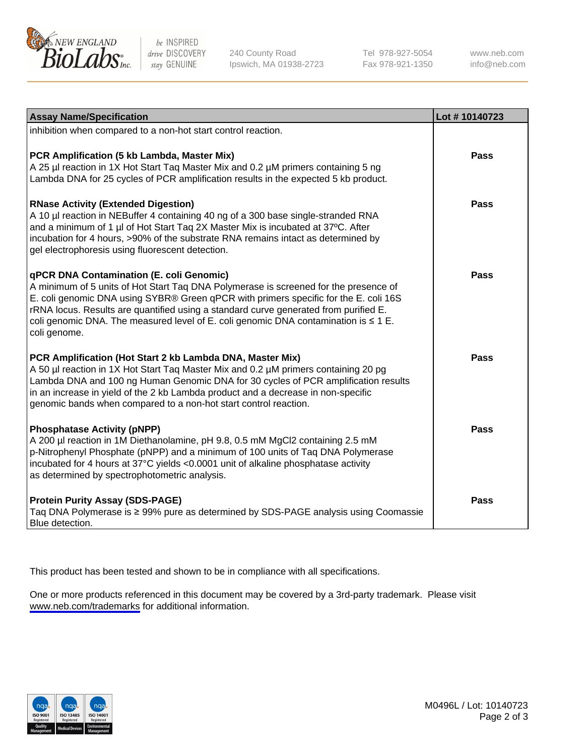

be INSPIRED drive DISCOVERY stay GENUINE

240 County Road Ipswich, MA 01938-2723 Tel 978-927-5054 Fax 978-921-1350

www.neb.com info@neb.com

| <b>Assay Name/Specification</b>                                                                                                                                                                                                                                                                                                                                                                                              | Lot #10140723 |
|------------------------------------------------------------------------------------------------------------------------------------------------------------------------------------------------------------------------------------------------------------------------------------------------------------------------------------------------------------------------------------------------------------------------------|---------------|
| inhibition when compared to a non-hot start control reaction.                                                                                                                                                                                                                                                                                                                                                                |               |
| PCR Amplification (5 kb Lambda, Master Mix)<br>A 25 µl reaction in 1X Hot Start Taq Master Mix and 0.2 µM primers containing 5 ng<br>Lambda DNA for 25 cycles of PCR amplification results in the expected 5 kb product.                                                                                                                                                                                                     | Pass          |
| <b>RNase Activity (Extended Digestion)</b><br>A 10 µl reaction in NEBuffer 4 containing 40 ng of a 300 base single-stranded RNA<br>and a minimum of 1 µl of Hot Start Taq 2X Master Mix is incubated at 37°C. After<br>incubation for 4 hours, >90% of the substrate RNA remains intact as determined by<br>gel electrophoresis using fluorescent detection.                                                                 | Pass          |
| qPCR DNA Contamination (E. coli Genomic)<br>A minimum of 5 units of Hot Start Taq DNA Polymerase is screened for the presence of<br>E. coli genomic DNA using SYBR® Green qPCR with primers specific for the E. coli 16S<br>rRNA locus. Results are quantified using a standard curve generated from purified E.<br>coli genomic DNA. The measured level of E. coli genomic DNA contamination is $\leq 1$ E.<br>coli genome. | Pass          |
| PCR Amplification (Hot Start 2 kb Lambda DNA, Master Mix)<br>A 50 µl reaction in 1X Hot Start Taq Master Mix and 0.2 µM primers containing 20 pg<br>Lambda DNA and 100 ng Human Genomic DNA for 30 cycles of PCR amplification results<br>in an increase in yield of the 2 kb Lambda product and a decrease in non-specific<br>genomic bands when compared to a non-hot start control reaction.                              | Pass          |
| <b>Phosphatase Activity (pNPP)</b><br>A 200 µl reaction in 1M Diethanolamine, pH 9.8, 0.5 mM MgCl2 containing 2.5 mM<br>p-Nitrophenyl Phosphate (pNPP) and a minimum of 100 units of Taq DNA Polymerase<br>incubated for 4 hours at 37°C yields <0.0001 unit of alkaline phosphatase activity<br>as determined by spectrophotometric analysis.                                                                               | <b>Pass</b>   |
| <b>Protein Purity Assay (SDS-PAGE)</b><br>Taq DNA Polymerase is ≥ 99% pure as determined by SDS-PAGE analysis using Coomassie<br>Blue detection.                                                                                                                                                                                                                                                                             | Pass          |

This product has been tested and shown to be in compliance with all specifications.

One or more products referenced in this document may be covered by a 3rd-party trademark. Please visit <www.neb.com/trademarks>for additional information.